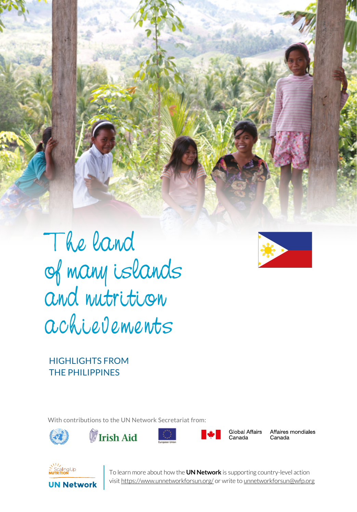



HIGHLIGHTS FROM THE PHILIPPINES

With contributions to the UN Network Secretariat from:







SERIES 1 UN NETWORK TALES IN THE TALES BE THE TALES OF TALES IN THE TALES OF TALES OF TALES IN THE TALES OF TALES OF TALES OF TALES OF TALES OF TALES OF TALES OF TALES OF TALES OF TALES OF TALES OF TALES OF TALES OF TALES



Global Affairs Canada

Affaires mondiales Canada



**1** To learn more about how the **UN Network** is supporting country-level action visit https://www.unnetworkforsun.org/ or write to unnetworkforsun@wfp.org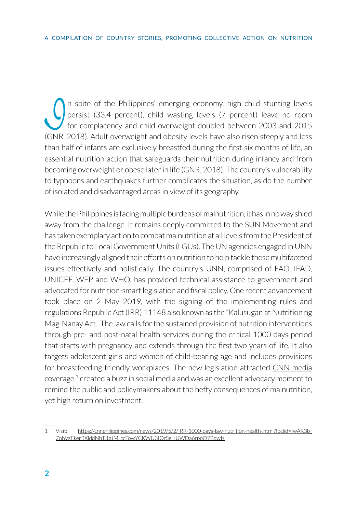In spite of the Philippines' emerging economy, high child stunting levels<br>persist (33.4 percent), child wasting levels (7 percent) leave no room<br>for complacency and child overweight doubled between 2003 and 2015<br>(GNR 2018) persist (33.4 percent), child wasting levels (7 percent) leave no room for complacency and child overweight doubled between 2003 and 2015 (GNR, 2018). Adult overweight and obesity levels have also risen steeply and less than half of infants are exclusively breastfed during the first six months of life, an essential nutrition action that safeguards their nutrition during infancy and from becoming overweight or obese later in life (GNR, 2018). The country's vulnerability to typhoons and earthquakes further complicates the situation, as do the number of isolated and disadvantaged areas in view of its geography.

While the Philippines is facing multiple burdens of malnutrition, it has in no way shied away from the challenge. It remains deeply committed to the SUN Movement and has taken exemplary action to combat malnutrition at all levels from the President of the Republic to Local Government Units (LGUs). The UN agencies engaged in UNN have increasingly aligned their efforts on nutrition to help tackle these multifaceted issues effectively and holistically. The country's UNN, comprised of FAO, IFAD, UNICEF, WFP and WHO, has provided technical assistance to government and advocated for nutrition-smart legislation and fiscal policy. One recent advancement took place on 2 May 2019, with the signing of the implementing rules and regulations Republic Act (IRR) 11148 also known as the "Kalusugan at Nutrition ng Mag-Nanay Act." The law calls for the sustained provision of nutrition interventions through pre- and post-natal health services during the critical 1000 days period that starts with pregnancy and extends through the first two years of life. It also targets adolescent girls and women of child-bearing age and includes provisions for breastfeeding-friendly workplaces. The new legislation attracted [CNN media](https://cnnphilippines.com/news/2019/5/2/IRR-1000-days-law-nutrition-health-.html?fbclid=IwAR3b_ZohVzFkerRXlddNhT3gJM_ccTowYCKWU3IOrSeHUWDa6rppQ7BqwIs)  [coverage](https://cnnphilippines.com/news/2019/5/2/IRR-1000-days-law-nutrition-health-.html?fbclid=IwAR3b_ZohVzFkerRXlddNhT3gJM_ccTowYCKWU3IOrSeHUWDa6rppQ7BqwIs),<sup>1</sup> created a buzz in social media and was an excellent advocacy moment to remind the public and policymakers about the hefty consequences of malnutrition, yet high return on investment.

<sup>1</sup> Visit: [https://cnnphilippines.com/news/2019/5/2/IRR-1000-days-law-nutrition-health-.html?fbclid=IwAR3b\\_](https://cnnphilippines.com/news/2019/5/2/IRR-1000-days-law-nutrition-health-.html?fbclid=IwAR3b_ZohVzFkerRXlddNhT3gJM_ccTowYCKWU3IOrSeHUWDa6rppQ7BqwIs) [ZohVzFkerRXlddNhT3gJM\\_ccTowYCKWU3IOrSeHUWDa6rppQ7BqwIs](https://cnnphilippines.com/news/2019/5/2/IRR-1000-days-law-nutrition-health-.html?fbclid=IwAR3b_ZohVzFkerRXlddNhT3gJM_ccTowYCKWU3IOrSeHUWDa6rppQ7BqwIs).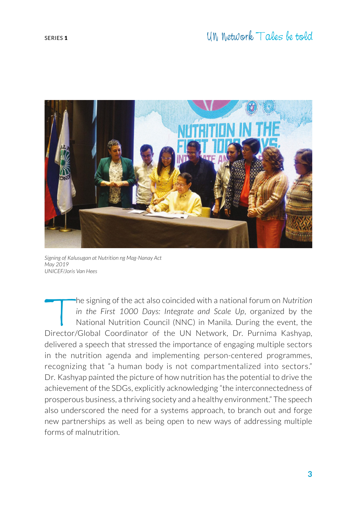

*Signing of Kalusugan at Nutrition ng Mag-Nanay Act May 2019 UNICEF/Joris Van Hees*

the signing of the act also coincided with a national forum on *Nutrition in the First 1000 Days: Integrate and Scale Up*, organized by the National Nutrition Council (NNC) in Manila. During the event, the Director/Global Coordinator of the UN Network, Dr. Purnima Kashyap, delivered a speech that stressed the importance of engaging multiple sectors in the nutrition agenda and implementing person-centered programmes, recognizing that "a human body is not compartmentalized into sectors." Dr. Kashyap painted the picture of how nutrition has the potential to drive the achievement of the SDGs, explicitly acknowledging "the interconnectedness of prosperous business, a thriving society and a healthy environment." The speech also underscored the need for a systems approach, to branch out and forge new partnerships as well as being open to new ways of addressing multiple forms of malnutrition.